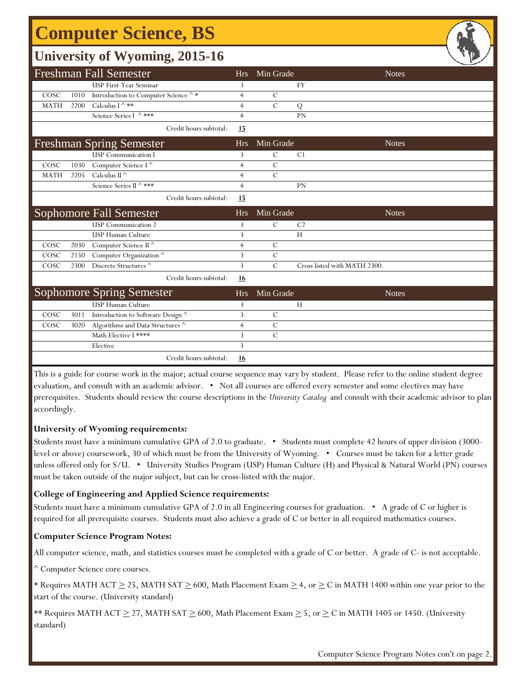# **Computer Science, BS**

### **University of Wyoming, 2015-16**

|             |      | $\tilde{\phantom{a}}$                    |                |               |                              | ー            |
|-------------|------|------------------------------------------|----------------|---------------|------------------------------|--------------|
|             |      | <b>Freshman Fall Semester</b>            | <b>Hrs</b>     | Min Grade     |                              | <b>Notes</b> |
|             |      | <b>USP First-Year Seminar</b>            | 3              |               | <b>FY</b>                    |              |
| COSC        | 1010 | Introduction to Computer Science ^ *     | $\overline{4}$ | $\mathcal{C}$ |                              |              |
| <b>MATH</b> | 2200 | Calculus I $\wedge$ **                   | 4              | $\mathcal{C}$ | Q                            |              |
|             |      | Science Series I ^ ***                   | $\overline{4}$ |               | <b>PN</b>                    |              |
|             |      | Credit hours subtotal:                   | 15             |               |                              |              |
|             |      | <b>Freshman Spring Semester</b>          | <b>Hrs</b>     | Min Grade     |                              | <b>Notes</b> |
|             |      | <b>USP</b> Communication I               | 3              | $\mathcal{C}$ | C <sub>1</sub>               |              |
| COSC        | 1030 | Computer Science I ^                     | $\overline{4}$ | $\mathcal{C}$ |                              |              |
| <b>MATH</b> | 2205 | Calculus II $\wedge$                     | 4              | $\mathcal{C}$ |                              |              |
|             |      | Science Series II ^ ***                  | $\overline{4}$ |               | PN                           |              |
|             |      | Credit hours subtotal:                   | 15             |               |                              |              |
|             |      | <b>Sophomore Fall Semester</b>           | <b>Hrs</b>     | Min Grade     |                              | <b>Notes</b> |
|             |      | <b>USP</b> Communication 2               | 3              | $\mathcal{C}$ | C <sub>2</sub>               |              |
|             |      | <b>USP Human Culture</b>                 | 3              |               | H                            |              |
| COSC        | 2030 | Computer Science II ^                    | $\overline{4}$ | $\mathcal{C}$ |                              |              |
| COSC        | 2150 | Computer Organization $^\wedge$          | 3              | $\mathcal{C}$ |                              |              |
| COSC        | 2300 | Discrete Structures ^                    | 3              | $\mathcal{C}$ | Cross listed with MATH 2300. |              |
|             |      | Credit hours subtotal:                   | <b>16</b>      |               |                              |              |
|             |      | <b>Sophomore Spring Semester</b>         | <b>Hrs</b>     | Min Grade     |                              | <b>Notes</b> |
|             |      | <b>USP Human Culture</b>                 | 3              |               | H                            |              |
| COSC        | 3011 | Introduction to Software Design ^        | 3              | $\mathcal{C}$ |                              |              |
| COSC        | 3020 | Algorithms and Data Structures $^\wedge$ | $\overline{4}$ | $\mathcal{C}$ |                              |              |
|             |      | Math Elective I ****                     | 3              | $\mathcal{C}$ |                              |              |
|             |      | Elective                                 | 3              |               |                              |              |
|             |      | Credit hours subtotal:                   | 16             |               |                              |              |

This is a guide for course work in the major; actual course sequence may vary by student. Please refer to the online student degree evaluation, and consult with an academic advisor. • Not all courses are offered every semester and some electives may have prerequisites. Students should review the course descriptions in the *University Catalog* and consult with their academic advisor to plan accordingly.

#### **University of Wyoming requirements:**

Students must have a minimum cumulative GPA of 2.0 to graduate. • Students must complete 42 hours of upper division (3000 level or above) coursework, 30 of which must be from the University of Wyoming. • Courses must be taken for a letter grade unless offered only for S/U. • University Studies Program (USP) Human Culture (H) and Physical & Natural World (PN) courses must be taken outside of the major subject, but can be cross-listed with the major.

#### **College of Engineering and Applied Science requirements:**

Students must have a minimum cumulative GPA of 2.0 in all Engineering courses for graduation. • A grade of C or higher is required for all prerequisite courses. Students must also achieve a grade of C or better in all required mathematics courses.

#### **Computer Science Program Notes:**

All computer science, math, and statistics courses must be completed with a grade of C or better. A grade of C- is not acceptable.

^ Computer Science core courses.

\* Requires MATH ACT  $\geq$  25, MATH SAT  $\geq$  600, Math Placement Exam  $\geq$  4, or  $\geq$  C in MATH 1400 within one year prior to the start of the course. (University standard)

\*\* Requires MATH ACT  $\geq$  27, MATH SAT  $\geq$  600, Math Placement Exam  $\geq$  5, or  $\geq$  C in MATH 1405 or 1450. (University standard)

Computer Science Program Notes con't on page 2.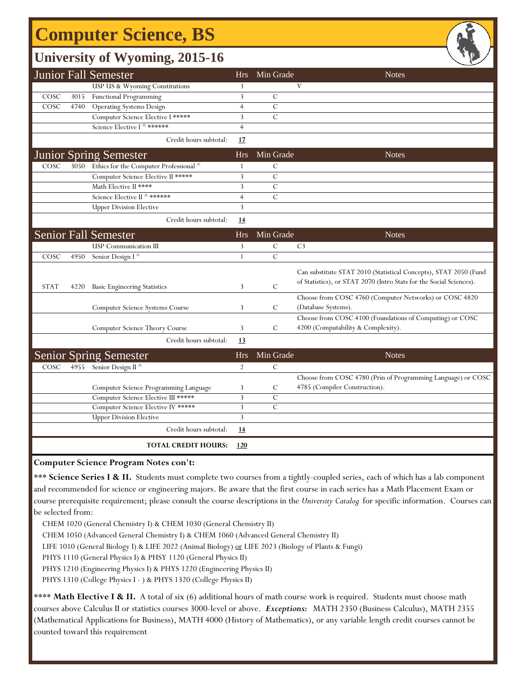# **Computer Science, BS**

### **University of Wyoming, 2015-16**

|             |      | <b>Junior Fall Semester</b>                    | <b>Hrs</b>     | Min Grade     | <b>Notes</b>                                                                                                                            |
|-------------|------|------------------------------------------------|----------------|---------------|-----------------------------------------------------------------------------------------------------------------------------------------|
|             |      | USP US & Wyoming Constitutions                 | 3              |               | V                                                                                                                                       |
| COSC        | 3015 | <b>Functional Programming</b>                  | 3              | $\mathcal{C}$ |                                                                                                                                         |
| COSC        | 4740 | <b>Operating Systems Design</b>                | $\overline{4}$ | $\mathcal{C}$ |                                                                                                                                         |
|             |      | Computer Science Elective I *****              | 3              | $\mathcal{C}$ |                                                                                                                                         |
|             |      | Science Elective I ^ ******                    | $\overline{4}$ |               |                                                                                                                                         |
|             |      | Credit hours subtotal:                         | 17             |               |                                                                                                                                         |
|             |      | <b>Junior Spring Semester</b>                  | <b>Hrs</b>     | Min Grade     | <b>Notes</b>                                                                                                                            |
| COSC        |      | 3050 Ethics for the Computer Professional ^    | 1              | C             |                                                                                                                                         |
|             |      | Computer Science Elective II *****             | 3              | $\mathcal{C}$ |                                                                                                                                         |
|             |      | Math Elective II ****                          | 3              | $\mathcal{C}$ |                                                                                                                                         |
|             |      | Science Elective II ^ ******                   | $\overline{4}$ | $\mathcal{C}$ |                                                                                                                                         |
|             |      | <b>Upper Division Elective</b>                 | 3              |               |                                                                                                                                         |
|             |      | Credit hours subtotal:                         | 14             |               |                                                                                                                                         |
|             |      | <b>Senior Fall Semester</b>                    | <b>Hrs</b>     | Min Grade     | <b>Notes</b>                                                                                                                            |
|             |      | <b>USP</b> Communication III                   | 3              | $\mathcal{C}$ | C <sub>3</sub>                                                                                                                          |
| COSC        | 4950 | Senior Design I <sup><math>\wedge</math></sup> | 1              | $\mathcal{C}$ |                                                                                                                                         |
| <b>STAT</b> | 4220 | <b>Basic Engineering Statistics</b>            | 3              | $\mathcal{C}$ | Can substitute STAT 2010 (Statistical Concepts), STAT 2050 (Fund<br>of Statistics), or STAT 2070 (Intro Stats for the Social Sciences). |
|             |      | Computer Science Systems Course                | 3              | C             | Choose from COSC 4760 (Computer Networks) or COSC 4820<br>(Database Systems).                                                           |
|             |      | Computer Science Theory Course                 | 3              | $\mathcal{C}$ | Choose from COSC 4100 (Foundations of Computing) or COSC<br>4200 (Computability & Complexity).                                          |
|             |      | Credit hours subtotal:                         | 13             |               |                                                                                                                                         |
|             |      | <b>Senior Spring Semester</b>                  | <b>Hrs</b>     | Min Grade     | <b>Notes</b>                                                                                                                            |
| COSC        | 4955 | Senior Design II $\overline{\wedge}$           | $\overline{2}$ | $\mathcal{C}$ |                                                                                                                                         |
|             |      | Computer Science Programming Language          | 3              | C             | Choose from COSC 4780 (Prin of Programming Language) or COSC<br>4785 (Compiler Construction).                                           |
|             |      | Computer Science Elective III *****            | 3              | $\mathcal{C}$ |                                                                                                                                         |
|             |      | Computer Science Elective IV *****             | 3              | $\mathcal{C}$ |                                                                                                                                         |
|             |      | <b>Upper Division Elective</b>                 | 3              |               |                                                                                                                                         |
|             |      | Credit hours subtotal:                         | 14             |               |                                                                                                                                         |
|             |      | <b>TOTAL CREDIT HOURS:</b>                     | 120            |               |                                                                                                                                         |

**Computer Science Program Notes con't:**

\*\*\* **Science Series I & II.** Students must complete two courses from a tightly-coupled series, each of which has a lab component and recommended for science or engineering majors. Be aware that the first course in each series has a Math Placement Exam or course prerequisite requirement; please consult the course descriptions in the *University Catalog* for specific information. Courses can be selected from:

CHEM 1020 (General Chemistry I) & CHEM 1030 (General Chemistry II)

CHEM 1050 (Advanced General Chemistry I) & CHEM 1060 (Advanced General Chemistry II)

LIFE 1010 (General Biology I) & LIFE 2022 (Animal Biology) or LIFE 2023 (Biology of Plants & Fungi)

PHYS 1110 (General Physics I) & PHSY 1120 (General Physics II)

PHYS 1210 (Engineering Physics I) & PHYS 1220 (Engineering Physics II)

PHYS 1310 (College Physics I - ) & PHYS 1320 (College Physics II)

\*\*\*\* Math Elective I & II. A total of six (6) additional hours of math course work is required. Students must choose math courses above Calculus II or statistics courses 3000-level or above. *Exceptions:* MATH 2350 (Business Calculus), MATH 2355 (Mathematical Applications for Business), MATH 4000 (History of Mathematics), or any variable length credit courses cannot be counted toward this requirement